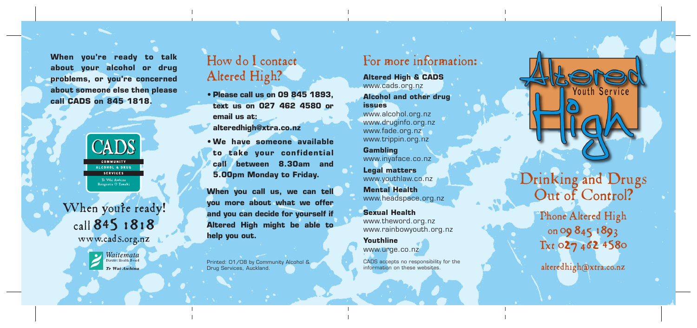**When you're ready to talk about your alcohol or drug problems, or you're concerned about someone else then please call CADS on 845 1818.**



When you're ready! call 845 1818 www. cadS.org.nz



### How do I contact Altered High?

- **Please call us on 09 845 1893, text us on 027 462 4580 or email us at: alteredhigh@xtra.co.nz**
- **We have someone available to take your confidential call between 8.30am and 5.00pm Monday to Friday.**

**When you call us, we can tell you more about what we offer and you can decide for yourself if Altered High might be able to help you out.**

Printed: 01/08 by Community Alcohol & CADS accepts no responsibility for the and the services, Auckland.<br>
Drug Services, Auckland. Management of the services of the services of the services of the services of the services Drug Services, Auckland.

#### For more information:

**Altered High & CADS** www.cads.org.nz

**Alcohol and other drug issues**

www.alcohol.org.nz www.druginfo.org.nz www.fade.org.nz www.trippin.org.nz

**Gambling** www.inyaface.co.nz **Legal matters**

www.youthlaw.co.nz

**Mental Health** www.headspace.org.nz

**Sexual Health** www.theword.org.nz www.rainbowyouth.org.nz

**Youthline** www.urge.co.nz

CADS accepts no responsibility for the information on these websites.

**Couth Service** 

Drinking and Drugs Out of Control?

> Phone Altered High on 09 845 1893 Txt 027 462 4580